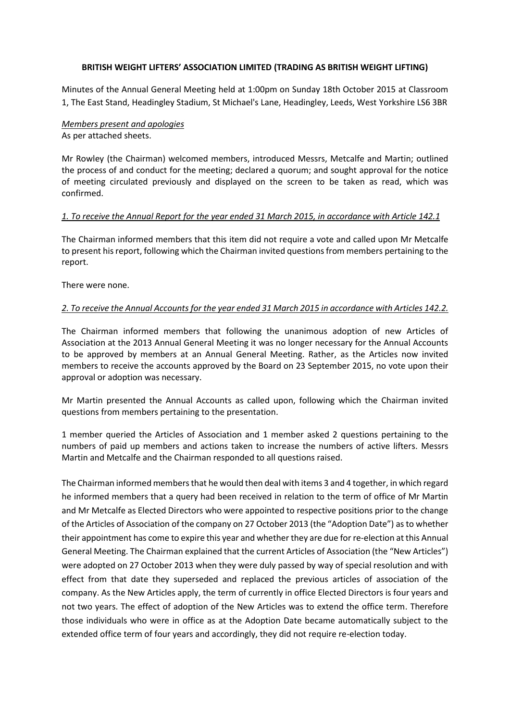#### **BRITISH WEIGHT LIFTERS' ASSOCIATION LIMITED (TRADING AS BRITISH WEIGHT LIFTING)**

Minutes of the Annual General Meeting held at 1:00pm on Sunday 18th October 2015 at Classroom 1, The East Stand, Headingley Stadium, St Michael's Lane, Headingley, Leeds, West Yorkshire LS6 3BR

### *Members present and apologies* As per attached sheets.

Mr Rowley (the Chairman) welcomed members, introduced Messrs, Metcalfe and Martin; outlined the process of and conduct for the meeting; declared a quorum; and sought approval for the notice of meeting circulated previously and displayed on the screen to be taken as read, which was confirmed.

### *1. To receive the Annual Report for the year ended 31 March 2015, in accordance with Article 142.1*

The Chairman informed members that this item did not require a vote and called upon Mr Metcalfe to present his report, following which the Chairman invited questions from members pertaining to the report.

There were none.

### *2. To receive the Annual Accounts for the year ended 31 March 2015 in accordance with Articles 142.2.*

The Chairman informed members that following the unanimous adoption of new Articles of Association at the 2013 Annual General Meeting it was no longer necessary for the Annual Accounts to be approved by members at an Annual General Meeting. Rather, as the Articles now invited members to receive the accounts approved by the Board on 23 September 2015, no vote upon their approval or adoption was necessary.

Mr Martin presented the Annual Accounts as called upon, following which the Chairman invited questions from members pertaining to the presentation.

1 member queried the Articles of Association and 1 member asked 2 questions pertaining to the numbers of paid up members and actions taken to increase the numbers of active lifters. Messrs Martin and Metcalfe and the Chairman responded to all questions raised.

The Chairman informed members that he would then deal with items 3 and 4 together, in which regard he informed members that a query had been received in relation to the term of office of Mr Martin and Mr Metcalfe as Elected Directors who were appointed to respective positions prior to the change of the Articles of Association of the company on 27 October 2013 (the "Adoption Date") as to whether their appointment has come to expire this year and whether they are due for re-election at this Annual General Meeting. The Chairman explained that the current Articles of Association (the "New Articles") were adopted on 27 October 2013 when they were duly passed by way of special resolution and with effect from that date they superseded and replaced the previous articles of association of the company. As the New Articles apply, the term of currently in office Elected Directors is four years and not two years. The effect of adoption of the New Articles was to extend the office term. Therefore those individuals who were in office as at the Adoption Date became automatically subject to the extended office term of four years and accordingly, they did not require re-election today.